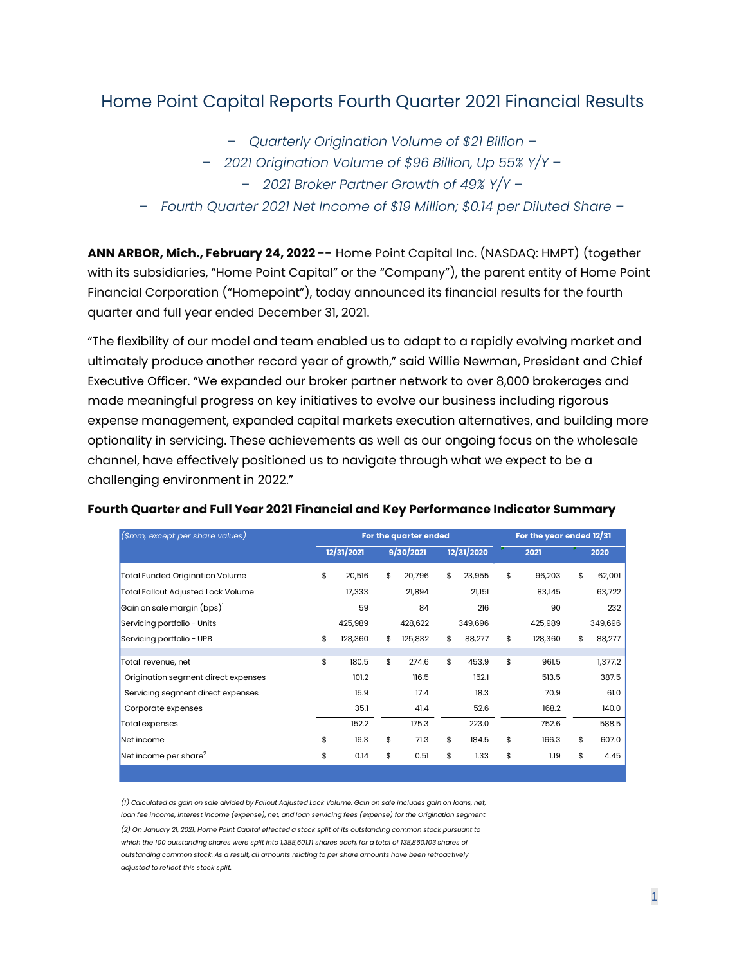# Home Point Capital Reports Fourth Quarter 2021 Financial Results

- Quarterly Origination Volume of \$21 Billion –
- 2021 Origination Volume of \$96 Billion, Up 55% Y/Y
	- 2021 Broker Partner Growth of 49% Y/Y –
- Fourth Quarter 2021 Net Income of \$19 Million; \$0.14 per Diluted Share –

ANN ARBOR, Mich., February 24, 2022 -- Home Point Capital Inc. (NASDAQ: HMPT) (together with its subsidiaries, "Home Point Capital" or the "Company"), the parent entity of Home Point Financial Corporation ("Homepoint"), today announced its financial results for the fourth quarter and full year ended December 31, 2021.

"The flexibility of our model and team enabled us to adapt to a rapidly evolving market and ultimately produce another record year of growth," said Willie Newman, President and Chief Executive Officer. "We expanded our broker partner network to over 8,000 brokerages and made meaningful progress on key initiatives to evolve our business including rigorous expense management, expanded capital markets execution alternatives, and building more optionality in servicing. These achievements as well as our ongoing focus on the wholesale channel, have effectively positioned us to navigate through what we expect to be a challenging environment in 2022." 12/31/2021 12/31/2020 2015<br>
12/333 21,894 21,151 cases 13/45 cases 13/45<br>
12/31/303<br>
12/33<br>
12/33<br>
12/39<br>
12/33<br>
12/39<br>
12/33<br>
12/39<br>
12/31<br>
12/31<br>
12/31<br>
12/31<br>
12/31<br>
12/31<br>
12/31<br>
12/31<br>
12/31<br>
12/31<br>
12/31<br>
12/31<br>
12/

|                                        |               | th Quarter and Full Year 2021 Financial and Key Performance Indicator Summary |              |                          |             |  |
|----------------------------------------|---------------|-------------------------------------------------------------------------------|--------------|--------------------------|-------------|--|
| (\$mm, except per share values)        |               | For the quarter ended                                                         |              | For the year ended 12/31 |             |  |
|                                        | 12/31/2021    | 9/30/2021                                                                     | 12/31/2020   | 2021                     | 2020        |  |
| Total Funded Origination Volume        | \$<br>20,516  | \$<br>20,796                                                                  | \$<br>23,955 | \$<br>96,203             | 62,001      |  |
| Total Fallout Adjusted Lock Volume     | 17,333        | 21,894                                                                        | 21,151       | 83,145                   | 63,722      |  |
| Gain on sale margin (bps) <sup>1</sup> | 59            | 84                                                                            | 216          | 90                       | 232         |  |
| Servicing portfolio - Units            | 425,989       | 428,622                                                                       | 349,696      | 425,989                  | 349,696     |  |
| Servicing portfolio - UPB              | \$<br>128,360 | \$<br>125,832                                                                 | \$<br>88,277 | \$<br>128,360            | 88,277      |  |
| Total revenue, net                     | \$<br>180.5   | \$<br>274.6                                                                   | \$<br>453.9  | \$<br>961.5              | 1,377.2     |  |
| Origination segment direct expenses    | 101.2         | 116.5                                                                         | 152.1        | 513.5                    | 387.5       |  |
| Servicing segment direct expenses      | 15.9          | 17.4                                                                          | 18.3         | 70.9                     | 61.0        |  |
| Corporate expenses                     | 35.1          | 41.4                                                                          | 52.6         | 168.2                    | 140.0       |  |
| <b>Total expenses</b>                  | 152.2         | 175.3                                                                         | 223.0        | 752.6                    | 588.5       |  |
| Net income                             | \$<br>19.3    | \$<br>71.3                                                                    | \$<br>184.5  | \$<br>166.3              | \$<br>607.0 |  |
| Net income per share $2$               | \$<br>0.14    | \$<br>0.51                                                                    | \$<br>1.33   | \$<br>1.19               | \$<br>4.45  |  |

### Fourth Quarter and Full Year 2021 Financial and Key Performance Indicator Summary

(1) Calculated as gain on sale divided by Fallout Adjusted Lock Volume. Gain on sale includes gain on loans, net, loan fee income, interest income (expense), net, and loan servicing fees (expense) for the Origination segment.

(2) On January 21, 2021, Home Point Capital effected a stock split of its outstanding common stock pursuant to which the 100 outstanding shares were split into 1,388,601.11 shares each, for a total of 138,860,103 shares of outstanding common stock. As a result, all amounts relating to per share amounts have been retroactively adjusted to reflect this stock split.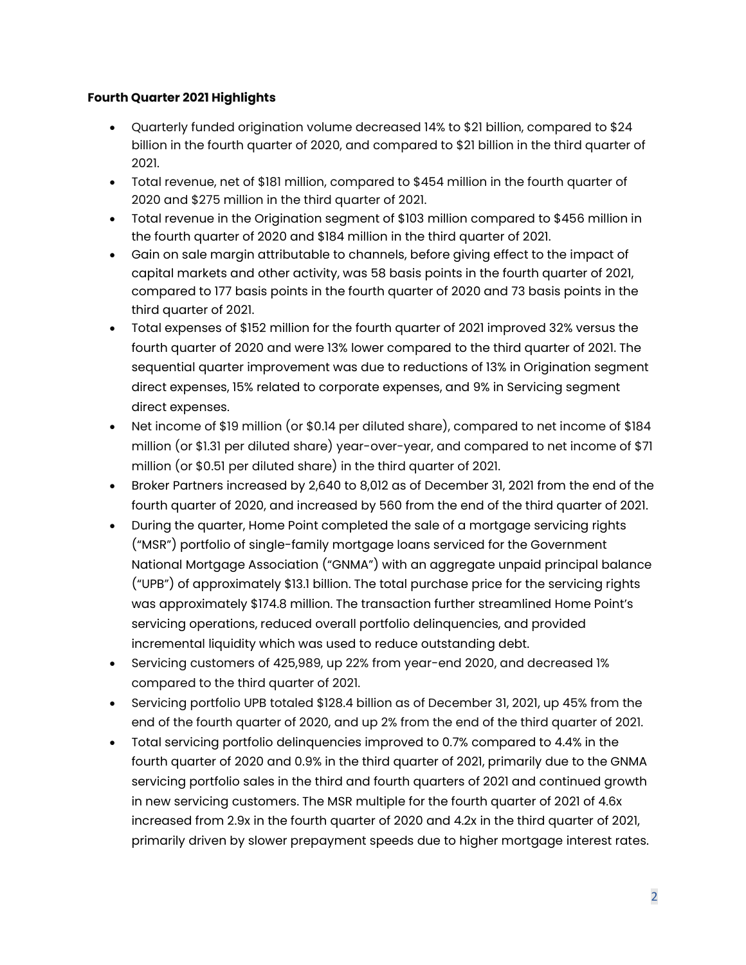## Fourth Quarter 2021 Highlights

- Quarterly funded origination volume decreased 14% to \$21 billion, compared to \$24 billion in the fourth quarter of 2020, and compared to \$21 billion in the third quarter of 2021.
- Total revenue, net of \$181 million, compared to \$454 million in the fourth quarter of 2020 and \$275 million in the third quarter of 2021.
- Total revenue in the Origination segment of \$103 million compared to \$456 million in the fourth quarter of 2020 and \$184 million in the third quarter of 2021.
- Gain on sale margin attributable to channels, before giving effect to the impact of capital markets and other activity, was 58 basis points in the fourth quarter of 2021, compared to 177 basis points in the fourth quarter of 2020 and 73 basis points in the third quarter of 2021.
- Total expenses of \$152 million for the fourth quarter of 2021 improved 32% versus the fourth quarter of 2020 and were 13% lower compared to the third quarter of 2021. The sequential quarter improvement was due to reductions of 13% in Origination segment direct expenses, 15% related to corporate expenses, and 9% in Servicing segment direct expenses.
- Net income of \$19 million (or \$0.14 per diluted share), compared to net income of \$184 million (or \$1.31 per diluted share) year-over-year, and compared to net income of \$71 million (or \$0.51 per diluted share) in the third quarter of 2021.
- Broker Partners increased by 2,640 to 8,012 as of December 31, 2021 from the end of the fourth quarter of 2020, and increased by 560 from the end of the third quarter of 2021.
- During the quarter, Home Point completed the sale of a mortgage servicing rights ("MSR") portfolio of single-family mortgage loans serviced for the Government National Mortgage Association ("GNMA") with an aggregate unpaid principal balance ("UPB") of approximately \$13.1 billion. The total purchase price for the servicing rights was approximately \$174.8 million. The transaction further streamlined Home Point's servicing operations, reduced overall portfolio delinquencies, and provided incremental liquidity which was used to reduce outstanding debt.
- Servicing customers of 425,989, up 22% from year-end 2020, and decreased 1% compared to the third quarter of 2021.
- Servicing portfolio UPB totaled \$128.4 billion as of December 31, 2021, up 45% from the end of the fourth quarter of 2020, and up 2% from the end of the third quarter of 2021.
- Total servicing portfolio delinquencies improved to 0.7% compared to 4.4% in the fourth quarter of 2020 and 0.9% in the third quarter of 2021, primarily due to the GNMA servicing portfolio sales in the third and fourth quarters of 2021 and continued growth in new servicing customers. The MSR multiple for the fourth quarter of 2021 of 4.6x increased from 2.9x in the fourth quarter of 2020 and 4.2x in the third quarter of 2021, primarily driven by slower prepayment speeds due to higher mortgage interest rates.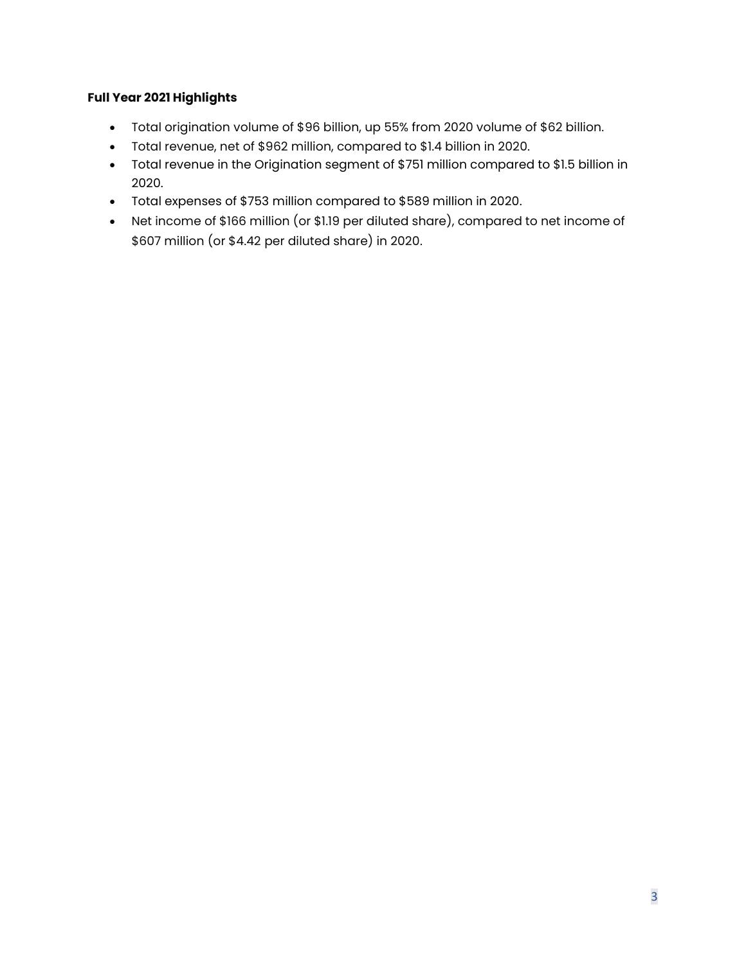## Full Year 2021 Highlights

- Total origination volume of \$96 billion, up 55% from 2020 volume of \$62 billion.
- Total revenue, net of \$962 million, compared to \$1.4 billion in 2020.
- Total revenue in the Origination segment of \$751 million compared to \$1.5 billion in 2020.
- Total expenses of \$753 million compared to \$589 million in 2020.
- Net income of \$166 million (or \$1.19 per diluted share), compared to net income of \$607 million (or \$4.42 per diluted share) in 2020.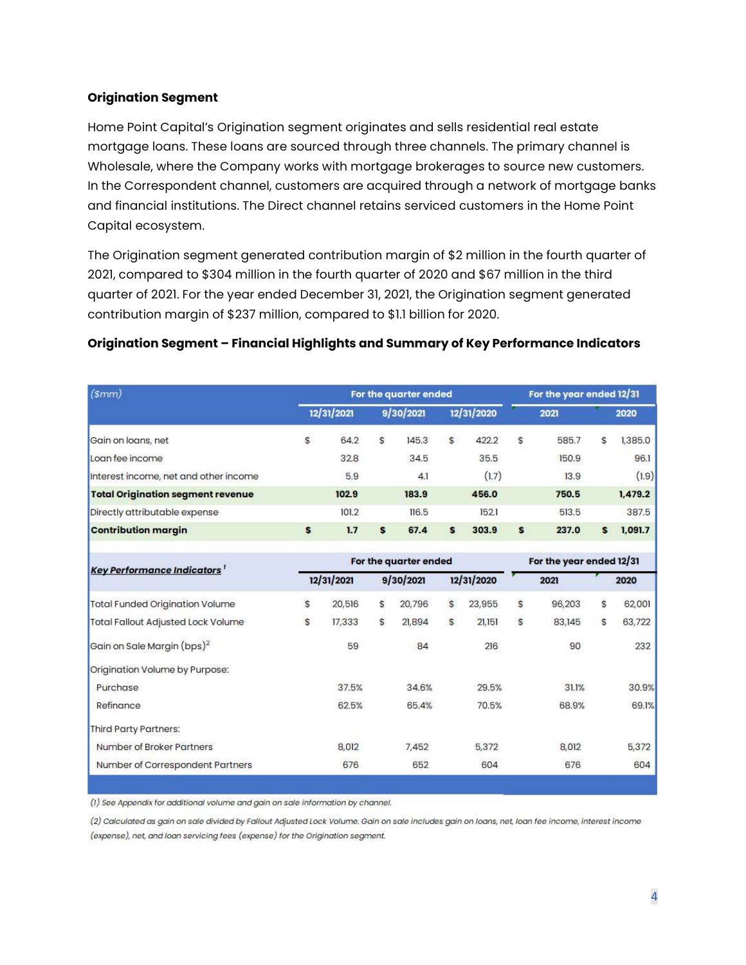## Origination Segment

Home Point Capital's Origination segment originates and sells residential real estate mortgage loans. These loans are sourced through three channels. The primary channel is Wholesale, where the Company works with mortgage brokerages to source new customers. In the Correspondent channel, customers are acquired through a network of mortgage banks and financial institutions. The Direct channel retains serviced customers in the Home Point Capital ecosystem.

The Origination segment generated contribution margin of \$2 million in the fourth quarter of 2021, compared to \$304 million in the fourth quarter of 2020 and \$67 million in the third quarter of 2021. For the year ended December 31, 2021, the Origination segment generated contribution margin of \$237 million, compared to \$1.1 billion for 2020.

## Origination Segment – Financial Highlights and Summary of Key Performance Indicators

| (smm)                                    |   |            |   | For the quarter ended |   |            |   | For the year ended 12/31 |   |         |
|------------------------------------------|---|------------|---|-----------------------|---|------------|---|--------------------------|---|---------|
|                                          |   | 12/31/2021 |   | 9/30/2021             |   | 12/31/2020 |   | 2021                     |   | 2020    |
| Gain on loans, net                       | s | 64.2       | s | 145.3                 | s | 422.2      | S | 585.7                    | s | 1,385.0 |
| Loan fee income                          |   | 32.8       |   | 34.5                  |   | 35.5       |   | 150.9                    |   | 96.1    |
| Interest income, net and other income    |   | 5.9        |   | 4.1                   |   | (1.7)      |   | 13.9                     |   | (1.9)   |
| <b>Total Origination segment revenue</b> |   | 102.9      |   | 183.9                 |   | 456.0      |   | 750.5                    |   | 1,479.2 |
| Directly attributable expense            |   | 101.2      |   | 116.5                 |   | 152.1      |   | 513.5                    |   | 387.5   |
| <b>Contribution margin</b>               | s | 1.7        | S | 67.4                  | s | 303.9      | s | 237.0                    | s | 1,091.7 |

|                                           |    |            | For the quarter ended |    |            |   | For the year ended 12/31 |    |        |
|-------------------------------------------|----|------------|-----------------------|----|------------|---|--------------------------|----|--------|
| <b>Key Performance Indicators'</b>        |    | 12/31/2021 | 9/30/2021             |    | 12/31/2020 |   | 2021                     |    | 2020   |
| <b>Total Funded Origination Volume</b>    | \$ | 20,516     | \$<br>20,796          | S  | 23,955     | S | 96,203                   | \$ | 62,001 |
| <b>Total Fallout Adjusted Lock Volume</b> | S  | 17.333     | \$<br>21,894          | s. | 21,151     | S | 83,145                   | s  | 63,722 |
| Gain on Sale Margin (bps) <sup>2</sup>    |    | 59         | 84                    |    | 216        |   | 90                       |    | 232    |
| Origination Volume by Purpose:            |    |            |                       |    |            |   |                          |    |        |
| Purchase                                  |    | 37.5%      | 34.6%                 |    | 29.5%      |   | 31.1%                    |    | 30.9%  |
| Refinance                                 |    | 62.5%      | 65.4%                 |    | 70.5%      |   | 68.9%                    |    | 69.1%  |
| <b>Third Party Partners:</b>              |    |            |                       |    |            |   |                          |    |        |
| Number of Broker Partners                 |    | 8,012      | 7,452                 |    | 5,372      |   | 8,012                    |    | 5,372  |
| Number of Correspondent Partners          |    | 676        | 652                   |    | 604        |   | 676                      |    | 604    |

(1) See Appendix for additional volume and gain on sale information by channel.

(2) Calculated as gain on sale divided by Fallout Adjusted Lock Volume. Gain on sale includes gain on loans, net, loan fee income, interest income (expense), net, and loan servicing fees (expense) for the Origination segment.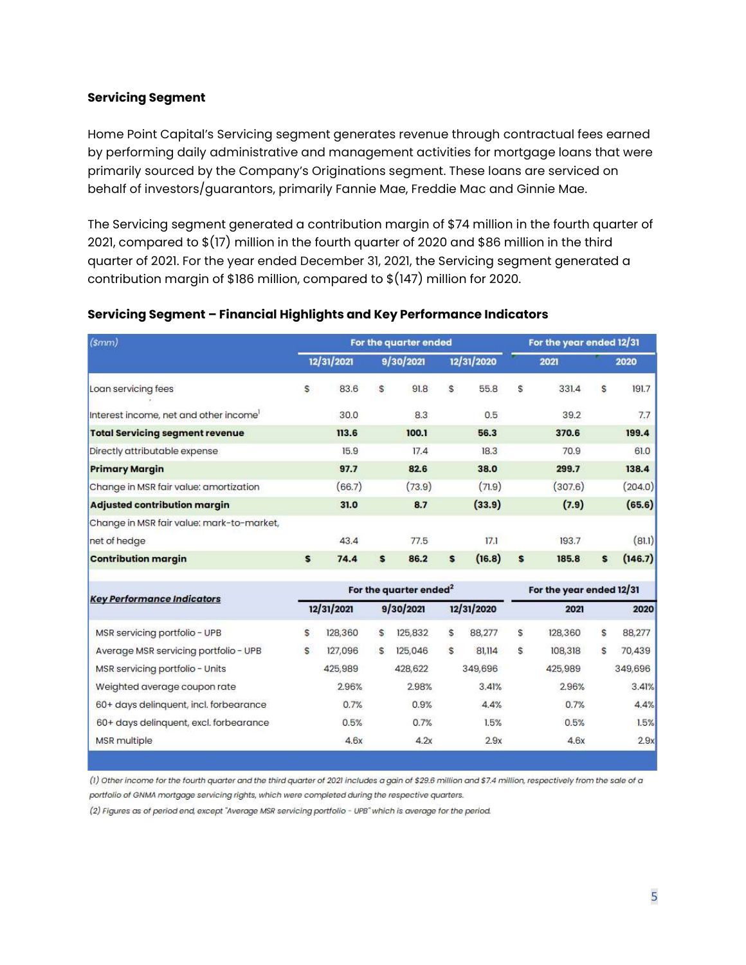## Servicing Segment

Home Point Capital's Servicing segment generates revenue through contractual fees earned by performing daily administrative and management activities for mortgage loans that were primarily sourced by the Company's Originations segment. These loans are serviced on behalf of investors/guarantors, primarily Fannie Mae, Freddie Mac and Ginnie Mae.

The Servicing segment generated a contribution margin of \$74 million in the fourth quarter of 2021, compared to \$(17) million in the fourth quarter of 2020 and \$86 million in the third quarter of 2021. For the year ended December 31, 2021, the Servicing segment generated a contribution margin of \$186 million, compared to \$(147) million for 2020.

| (smm)                                     |   |            |    | For the quarter ended |        |            |    | For the year ended 12/31 |   |                         |
|-------------------------------------------|---|------------|----|-----------------------|--------|------------|----|--------------------------|---|-------------------------|
|                                           |   | 12/31/2021 |    | 9/30/2021             |        | 12/31/2020 |    | 2021                     |   | 2020                    |
| Loan servicing fees                       | S | 83.6       | \$ | 91.8                  | s      | 55.8       | \$ | 331.4                    | S | 191.7                   |
| Interest income, net and other income     |   | 30.0       |    | 8.3                   |        | 0.5        |    | 39.2                     |   | 7.7                     |
| <b>Total Servicing segment revenue</b>    |   | 113.6      |    | 100.1                 |        | 56.3       |    | 370.6                    |   | 199.4                   |
| Directly attributable expense             |   | 15.9       |    | 17.4                  |        | 18.3       |    | 70.9                     |   | 61.0                    |
| <b>Primary Margin</b>                     |   | 97.7       |    | 82.6                  |        | 38.0       |    | 299.7                    |   | 138.4                   |
| Change in MSR fair value: amortization    |   | (66.7)     |    | (73.9)                |        | (71.9)     |    | (307.6)                  |   | (204.0)                 |
| <b>Adjusted contribution margin</b>       |   | 31.0       |    | 8.7                   |        | (33.9)     |    | (7.9)                    |   | (65.6)                  |
| Change in MSR fair value: mark-to-market, |   |            |    |                       |        |            |    |                          |   |                         |
| net of hedge                              |   | 43.4       |    | 77.5                  |        | 17.1       |    | 193.7                    |   | (81.1)                  |
| <b>Contribution margin</b>                | s | 74.4       | s  | 86.2                  | S      | (16.8)     | S  | 185.8                    | s | (146.7)                 |
|                                           |   |            |    |                       | $\sim$ |            |    |                          |   | the company's company's |

## Servicing Segment – Financial Highlights and Key Performance Indicators

| <b>Key Performance Indicators</b>      |   |            |   | For the quarter ended <sup>2</sup> |   |            | For the year ended 12/31 |    |         |
|----------------------------------------|---|------------|---|------------------------------------|---|------------|--------------------------|----|---------|
|                                        |   | 12/31/2021 |   | 9/30/2021                          |   | 12/31/2020 | 2021                     |    | 2020    |
| MSR servicing portfolio - UPB          | s | 128,360    | S | 125.832                            | S | 88.277     | \$<br>128,360            | S  | 88,277  |
| Average MSR servicing portfolio - UPB  | s | 127.096    | S | 125,046                            | s | 81,114     | \$<br>108.318            | \$ | 70,439  |
| MSR servicing portfolio - Units        |   | 425,989    |   | 428,622                            |   | 349,696    | 425,989                  |    | 349,696 |
| Weighted average coupon rate           |   | 2.96%      |   | 2.98%                              |   | 3.41%      | 2.96%                    |    | 3.41%   |
| 60+ days delinquent, incl. forbearance |   | 0.7%       |   | 0.9%                               |   | 4.4%       | 0.7%                     |    | 4.4%    |
| 60+ days delinquent, excl. forbearance |   | 0.5%       |   | 0.7%                               |   | 1.5%       | 0.5%                     |    | 1.5%    |
| <b>MSR</b> multiple                    |   | 4.6x       |   | 4.2x                               |   | 2.9x       | 4.6x                     |    | 2.9x    |

(1) Other income for the fourth quarter and the third quarter of 2021 includes a gain of \$29.6 million and \$7.4 million, respectively from the sale of a portfolio of GNMA mortgage servicing rights, which were completed during the respective quarters.

(2) Figures as of period end, except "Average MSR servicing portfolio - UPB" which is average for the period.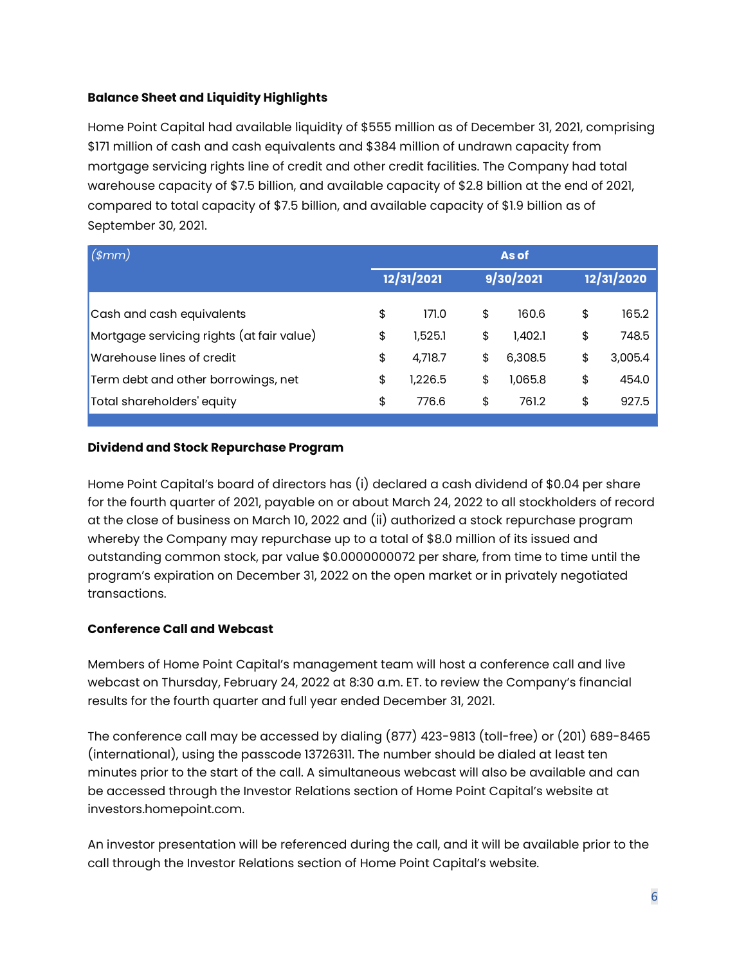## Balance Sheet and Liquidity Highlights

Home Point Capital had available liquidity of \$555 million as of December 31, 2021, comprising \$171 million of cash and cash equivalents and \$384 million of undrawn capacity from mortgage servicing rights line of credit and other credit facilities. The Company had total warehouse capacity of \$7.5 billion, and available capacity of \$2.8 billion at the end of 2021, compared to total capacity of \$7.5 billion, and available capacity of \$1.9 billion as of September 30, 2021. 34 million of undrawn capacity from<br>
12 credit facilities. The Company had total<br>
12/31/2021 12/31/2021 12/31/2020<br>
12/31/2021 13/30/2021 12/31/2020<br>
13. 171.0 \$160.6 \$165.2

| September 30, 2021.                       |               |               |               |
|-------------------------------------------|---------------|---------------|---------------|
| (smm)                                     |               | As of         |               |
|                                           | 12/31/2021    | 9/30/2021     | 12/31/2020    |
| Cash and cash equivalents                 | \$<br>171.0   | \$<br>160.6   | \$<br>165.2   |
| Mortgage servicing rights (at fair value) | \$<br>1,525.1 | \$<br>1,402.1 | \$<br>748.5   |
| <b>Warehouse lines of credit</b>          | \$<br>4,718.7 | \$<br>6,308.5 | \$<br>3,005.4 |
| Term debt and other borrowings, net       | \$<br>1,226.5 | \$<br>1,065.8 | \$<br>454.0   |
| Total shareholders' equity                | \$<br>776.6   | \$<br>761.2   | \$<br>927.5   |

## Dividend and Stock Repurchase Program

Home Point Capital's board of directors has (i) declared a cash dividend of \$0.04 per share for the fourth quarter of 2021, payable on or about March 24, 2022 to all stockholders of record at the close of business on March 10, 2022 and (ii) authorized a stock repurchase program whereby the Company may repurchase up to a total of \$8.0 million of its issued and outstanding common stock, par value \$0.0000000072 per share, from time to time until the program's expiration on December 31, 2022 on the open market or in privately negotiated transactions.

### Conference Call and Webcast

Members of Home Point Capital's management team will host a conference call and live webcast on Thursday, February 24, 2022 at 8:30 a.m. ET. to review the Company's financial results for the fourth quarter and full year ended December 31, 2021.

The conference call may be accessed by dialing (877) 423-9813 (toll-free) or (201) 689-8465 (international), using the passcode 13726311. The number should be dialed at least ten minutes prior to the start of the call. A simultaneous webcast will also be available and can be accessed through the Investor Relations section of Home Point Capital's website at investors.homepoint.com.

An investor presentation will be referenced during the call, and it will be available prior to the call through the Investor Relations section of Home Point Capital's website.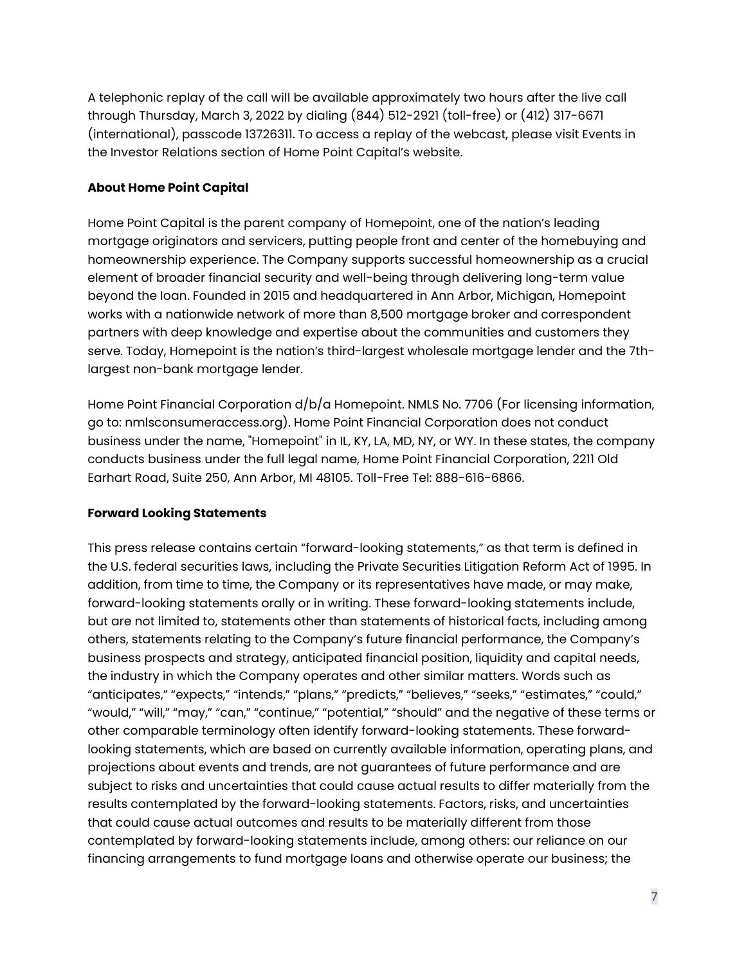A telephonic replay of the call will be available approximately two hours after the live call through Thursday, March 3, 2022 by dialing (844) 512-2921 (toll-free) or (412) 317-6671 (international), passcode 13726311. To access a replay of the webcast, please visit Events in the Investor Relations section of Home Point Capital's website.

## About Home Point Capital

Home Point Capital is the parent company of Homepoint, one of the nation's leading mortgage originators and servicers, putting people front and center of the homebuying and homeownership experience. The Company supports successful homeownership as a crucial element of broader financial security and well-being through delivering long-term value beyond the loan. Founded in 2015 and headquartered in Ann Arbor, Michigan, Homepoint works with a nationwide network of more than 8,500 mortgage broker and correspondent partners with deep knowledge and expertise about the communities and customers they serve. Today, Homepoint is the nation's third-largest wholesale mortgage lender and the 7thlargest non-bank mortgage lender.

Home Point Financial Corporation d/b/a Homepoint. NMLS No. 7706 (For licensing information, go to: nmlsconsumeraccess.org). Home Point Financial Corporation does not conduct business under the name, "Homepoint" in IL, KY, LA, MD, NY, or WY. In these states, the company conducts business under the full legal name, Home Point Financial Corporation, 2211 Old Earhart Road, Suite 250, Ann Arbor, MI 48105. Toll-Free Tel: 888-616-6866.

## Forward Looking Statements

This press release contains certain "forward-looking statements," as that term is defined in the U.S. federal securities laws, including the Private Securities Litigation Reform Act of 1995. In addition, from time to time, the Company or its representatives have made, or may make, forward-looking statements orally or in writing. These forward-looking statements include, but are not limited to, statements other than statements of historical facts, including among others, statements relating to the Company's future financial performance, the Company's business prospects and strategy, anticipated financial position, liquidity and capital needs, the industry in which the Company operates and other similar matters. Words such as "anticipates," "expects," "intends," "plans," "predicts," "believes," "seeks," "estimates," "could," "would," "will," "may," "can," "continue," "potential," "should" and the negative of these terms or other comparable terminology often identify forward-looking statements. These forwardlooking statements, which are based on currently available information, operating plans, and projections about events and trends, are not guarantees of future performance and are subject to risks and uncertainties that could cause actual results to differ materially from the results contemplated by the forward-looking statements. Factors, risks, and uncertainties that could cause actual outcomes and results to be materially different from those contemplated by forward-looking statements include, among others: our reliance on our financing arrangements to fund mortgage loans and otherwise operate our business; the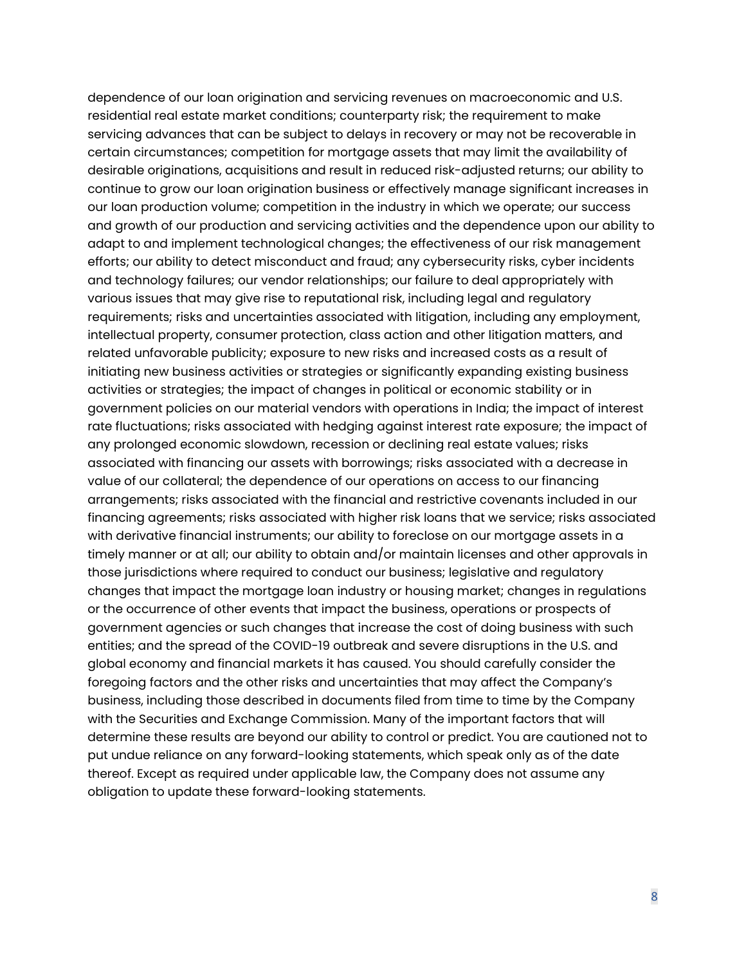dependence of our loan origination and servicing revenues on macroeconomic and U.S. residential real estate market conditions; counterparty risk; the requirement to make servicing advances that can be subject to delays in recovery or may not be recoverable in certain circumstances; competition for mortgage assets that may limit the availability of desirable originations, acquisitions and result in reduced risk-adjusted returns; our ability to continue to grow our loan origination business or effectively manage significant increases in our loan production volume; competition in the industry in which we operate; our success and growth of our production and servicing activities and the dependence upon our ability to adapt to and implement technological changes; the effectiveness of our risk management efforts; our ability to detect misconduct and fraud; any cybersecurity risks, cyber incidents and technology failures; our vendor relationships; our failure to deal appropriately with various issues that may give rise to reputational risk, including legal and regulatory requirements; risks and uncertainties associated with litigation, including any employment, intellectual property, consumer protection, class action and other litigation matters, and related unfavorable publicity; exposure to new risks and increased costs as a result of initiating new business activities or strategies or significantly expanding existing business activities or strategies; the impact of changes in political or economic stability or in government policies on our material vendors with operations in India; the impact of interest rate fluctuations; risks associated with hedging against interest rate exposure; the impact of any prolonged economic slowdown, recession or declining real estate values; risks associated with financing our assets with borrowings; risks associated with a decrease in value of our collateral; the dependence of our operations on access to our financing arrangements; risks associated with the financial and restrictive covenants included in our financing agreements; risks associated with higher risk loans that we service; risks associated with derivative financial instruments; our ability to foreclose on our mortgage assets in a timely manner or at all; our ability to obtain and/or maintain licenses and other approvals in those jurisdictions where required to conduct our business; legislative and regulatory changes that impact the mortgage loan industry or housing market; changes in regulations or the occurrence of other events that impact the business, operations or prospects of government agencies or such changes that increase the cost of doing business with such entities; and the spread of the COVID-19 outbreak and severe disruptions in the U.S. and global economy and financial markets it has caused. You should carefully consider the foregoing factors and the other risks and uncertainties that may affect the Company's business, including those described in documents filed from time to time by the Company with the Securities and Exchange Commission. Many of the important factors that will determine these results are beyond our ability to control or predict. You are cautioned not to put undue reliance on any forward-looking statements, which speak only as of the date thereof. Except as required under applicable law, the Company does not assume any obligation to update these forward-looking statements.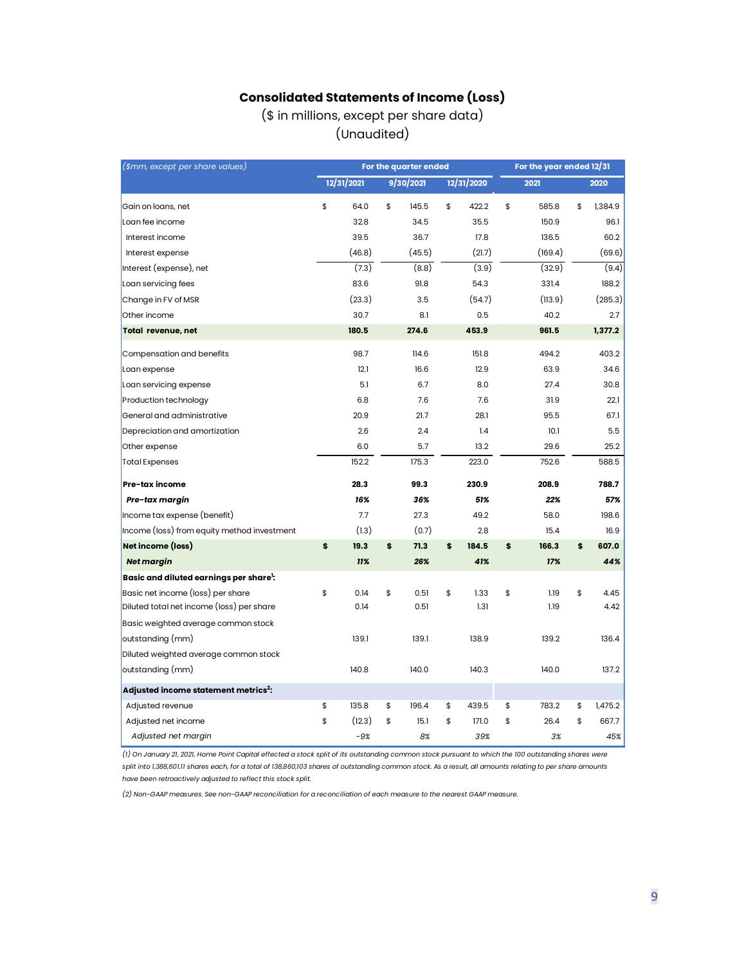## Consolidated Statements of Income (Loss)

## (\$ in millions, except per share data) (Unaudited)

| (\$ in millions, except per share data)          |              |                       |             |                          |               |
|--------------------------------------------------|--------------|-----------------------|-------------|--------------------------|---------------|
|                                                  | (Unaudited)  |                       |             |                          |               |
|                                                  |              |                       |             |                          |               |
| (\$mm, except per share values)                  |              | For the quarter ended |             | For the year ended 12/31 |               |
|                                                  | 12/31/2021   | 9/30/2021             | 12/31/2020  | 2021                     | 2020          |
| Gain on loans, net                               | \$<br>64.0   | \$<br>145.5           | \$<br>422.2 | \$<br>585.8              | \$<br>1,384.9 |
| Loan fee income                                  | 32.8         | 34.5                  | 35.5        | 150.9                    | 96.1          |
| Interest income                                  | 39.5         | 36.7                  | 17.8        | 136.5                    | 60.2          |
| Interest expense                                 | (46.8)       | (45.5)                | (21.7)      | (169.4)                  | (69.6)        |
| Interest (expense), net                          | (7.3)        | (8.8)                 | (3.9)       | (32.9)                   | (9.4)         |
| Loan servicing fees                              | 83.6         | 91.8                  | 54.3        | 331.4                    | 188.2         |
| Change in FV of MSR                              | (23.3)       | 3.5                   | (54.7)      | (113.9)                  | (285.3)       |
| Other income                                     | 30.7         | 8.1                   | 0.5         | 40.2                     | 2.7           |
| Total revenue, net                               | 180.5        | 274.6                 | 453.9       | 961.5                    | 1,377.2       |
| Compensation and benefits                        | 98.7         | 114.6                 | 151.8       | 494.2                    | 403.2         |
| Loan expense                                     | 12.1         | 16.6                  | 12.9        | 63.9                     | 34.6          |
| Loan servicing expense                           | 5.1          | 6.7                   | 8.0         | 27.4                     | 30.8          |
| Production technology                            | 6.8          | 7.6                   | 7.6         | 31.9                     | 22.1          |
| General and administrative                       | 20.9         | 21.7                  | 28.1        | 95.5                     | 67.1          |
| Depreciation and amortization                    | 2.6          | 2.4                   | 1.4         | 10.1                     | 5.5           |
| Other expense                                    | 6.0          | 5.7                   | 13.2        | 29.6                     | 25.2          |
| <b>Total Expenses</b>                            | 152.2        | 175.3                 | 223.0       | 752.6                    | 588.5         |
| Pre-tax income                                   | 28.3         | 99.3                  | 230.9       | 208.9                    | 788.7         |
| Pre-tax margin                                   | 16%          | 36%                   | 51%         | 22%                      | 57%           |
| Income tax expense (benefit)                     | 7.7          | 27.3                  | 49.2        | 58.0                     | 198.6         |
| Income (loss) from equity method investment      | (1.3)        | (0.7)                 | 2.8         | 15.4                     | 16.9          |
| Net income (loss)                                | \$<br>19.3   | \$<br>71.3            | \$<br>184.5 | \$<br>166.3              | \$<br>607.0   |
| <b>Net margin</b>                                | 11%          | 26%                   | 41%         | 17%                      | 44%           |
| Basic and diluted earnings per share!:           |              |                       |             |                          |               |
| Basic net income (loss) per share                | \$<br>0.14   | \$<br>0.51            | \$<br>1.33  | \$<br>1.19               | \$<br>4.45    |
| Diluted total net income (loss) per share        | 0.14         | 0.51                  | 1.31        | 1.19                     | 4.42          |
| Basic weighted average common stock              |              |                       |             |                          |               |
| outstanding (mm)                                 | 139.1        | 139.1                 | 138.9       | 139.2                    | 136.4         |
| Diluted weighted average common stock            |              |                       |             |                          |               |
| outstanding (mm)                                 | 140.8        | 140.0                 | 140.3       | 140.0                    | 137.2         |
| Adjusted income statement metrics <sup>2</sup> : |              |                       |             |                          |               |
| Adjusted revenue                                 | \$<br>135.8  | \$<br>196.4           | \$<br>439.5 | \$<br>783.2              | \$<br>1,475.2 |
| Adjusted net income                              | \$<br>(12.3) | \$<br>15.1            | \$<br>171.0 | \$<br>26.4               | \$<br>667.7   |
| Adjusted net margin                              | -9%          | 8%                    | 39%         | 3%                       | 45%           |

(2) Non-GAAP measures. See non-GAAP reconciliation for a reconciliation of each measure to the nearest GAAP measure.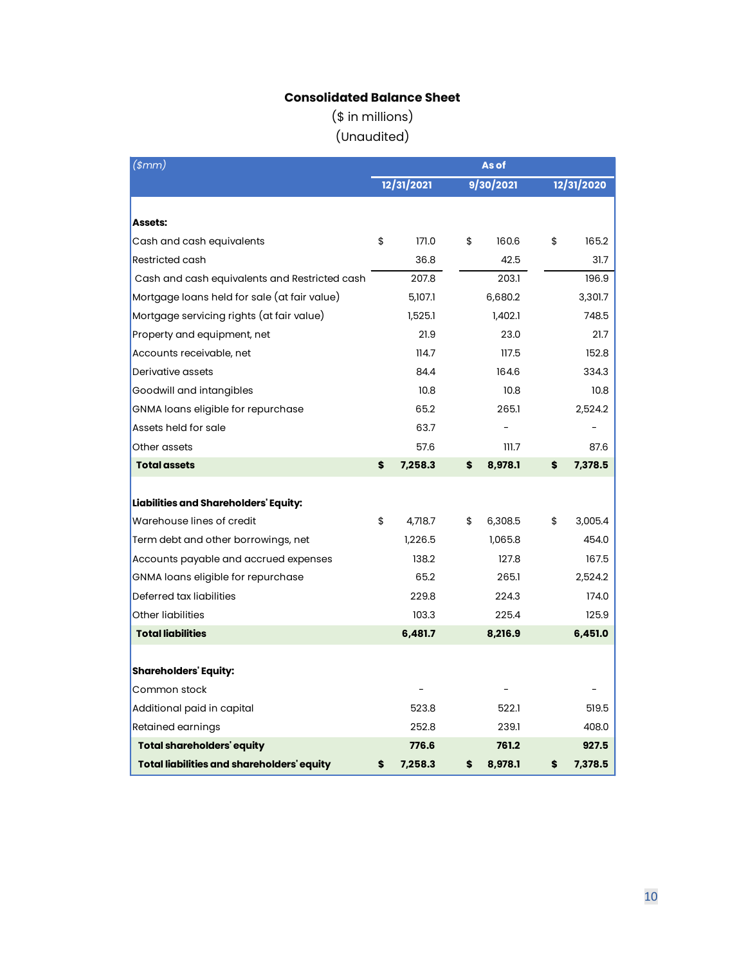## Consolidated Balance Sheet

# (\$ in millions) (Unaudited)

| <b>Consolidated Balance Sheet</b>             |               |               |               |
|-----------------------------------------------|---------------|---------------|---------------|
| $($$ in millions)                             |               |               |               |
| (Unaudited)                                   |               |               |               |
| $(\text{smm})$                                |               | <b>As of</b>  |               |
|                                               | 12/31/2021    | 9/30/2021     | 12/31/2020    |
|                                               |               |               |               |
| <b>Assets:</b>                                |               |               |               |
| Cash and cash equivalents                     | \$<br>171.0   | \$<br>160.6   | \$<br>165.2   |
| Restricted cash                               | 36.8          | 42.5          | 31.7          |
| Cash and cash equivalents and Restricted cash | 207.8         | 203.1         | 196.9         |
| Mortgage loans held for sale (at fair value)  | 5,107.1       | 6,680.2       | 3,301.7       |
| Mortgage servicing rights (at fair value)     | 1,525.1       | 1,402.1       | 748.5         |
| Property and equipment, net                   | 21.9          | 23.0          | 21.7          |
| Accounts receivable, net                      | 114.7         | 117.5         | 152.8         |
| Derivative assets                             | 84.4          | 164.6         | 334.3         |
| Goodwill and intangibles                      | 10.8          | 10.8          | 10.8          |
| GNMA loans eligible for repurchase            | 65.2          | 265.1         | 2,524.2       |
| Assets held for sale                          | 63.7          |               |               |
| Other assets                                  | 57.6          | 111.7         | 87.6          |
| <b>Total assets</b>                           | \$<br>7,258.3 | \$<br>8,978.1 | \$<br>7,378.5 |
|                                               |               |               |               |
| Liabilities and Shareholders' Equity:         |               |               |               |
| Warehouse lines of credit                     | \$<br>4,718.7 | \$<br>6,308.5 | \$<br>3,005.4 |
| Term debt and other borrowings, net           | 1,226.5       | 1,065.8       | 454.0         |
| Accounts payable and accrued expenses         | 138.2         | 127.8         | 167.5         |
| GNMA loans eligible for repurchase            | 65.2          | 265.1         | 2,524.2       |
| Deferred tax liabilities                      | 229.8         | 224.3         | 174.0         |
| Other liabilities                             | 103.3         | 225.4         | 125.9         |
| <b>Total liabilities</b>                      | 6,481.7       | 8,216.9       | 6,451.0       |
|                                               |               |               |               |
| <b>Shareholders' Equity:</b>                  |               |               |               |
| Common stock                                  |               |               |               |
| Additional paid in capital                    | 523.8         | 522.1         | 519.5         |
| Retained earnings                             | 252.8         | 239.1         | 408.0         |
| <b>Total shareholders' equity</b>             | 776.6         | 761.2         | 927.5         |
| Total liabilities and shareholders' equity    | \$<br>7,258.3 | \$<br>8,978.1 | \$<br>7,378.5 |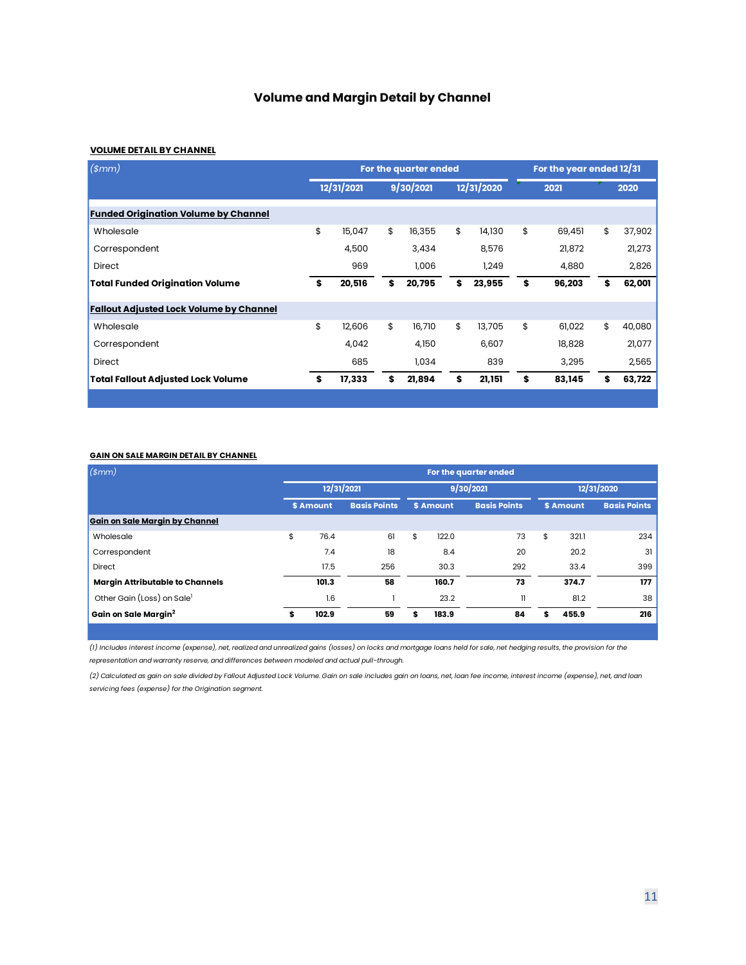## Volume and Margin Detail by Channel

### VOLUME DETAIL BY CHANNEL

|                                                |    | <b>Volume and Margin Detail by Channel</b> |                       |              |                          |              |
|------------------------------------------------|----|--------------------------------------------|-----------------------|--------------|--------------------------|--------------|
| <b>VOLUME DETAIL BY CHANNEL</b>                |    |                                            |                       |              |                          |              |
| (smm)                                          |    |                                            | For the quarter ended |              | For the year ended 12/31 |              |
|                                                |    | 12/31/2021                                 | 9/30/2021             | 12/31/2020   | 2021                     | 2020         |
| <b>Funded Origination Volume by Channel</b>    |    |                                            |                       |              |                          |              |
| Wholesale                                      | \$ | 15,047                                     | \$<br>16,355          | \$<br>14,130 | \$<br>69,451             | \$<br>37,902 |
| Correspondent                                  |    | 4,500                                      | 3,434                 | 8,576        | 21,872                   | 21,273       |
| Direct                                         |    | 969                                        | 1,006                 | 1,249        | 4,880                    | 2,826        |
| <b>Total Funded Origination Volume</b>         | \$ | 20,516                                     | \$<br>20,795          | \$<br>23,955 | \$<br>96,203             | \$<br>62,001 |
| <b>Fallout Adjusted Lock Volume by Channel</b> |    |                                            |                       |              |                          |              |
| Wholesale                                      | \$ | 12,606                                     | \$<br>16,710          | \$<br>13,705 | \$<br>61,022             | \$<br>40,080 |
| Correspondent                                  |    | 4,042                                      | 4,150                 | 6,607        | 18,828                   | 21,077       |
| Direct                                         |    | 685                                        | 1,034                 | 839          | 3,295                    | 2,565        |
| <b>Total Fallout Adjusted Lock Volume</b>      | Ŝ. | 17,333                                     | \$<br>21,894          | \$<br>21,151 | \$<br>83,145             | \$<br>63,722 |

### GAIN ON SALE MARGIN DETAIL BY CHANNEL

| oonooponuone                                                                                                                                                              |             | אדט,                |    | יטיה      |       | v,vv,                                                                                                                                                                                                                             |        | סגיס,טו |  | 1, 0, 1             |
|---------------------------------------------------------------------------------------------------------------------------------------------------------------------------|-------------|---------------------|----|-----------|-------|-----------------------------------------------------------------------------------------------------------------------------------------------------------------------------------------------------------------------------------|--------|---------|--|---------------------|
| Direct                                                                                                                                                                    |             | 685                 |    | 1,034     |       | 839                                                                                                                                                                                                                               |        | 3,295   |  | 2,565               |
| <b>Total Fallout Adjusted Lock Volume</b>                                                                                                                                 | s           | 17,333              | \$ | 21,894    | S     | 83,145<br>21,151<br>\$<br>\$<br>For the quarter ended<br>12/31/2020<br>9/30/2021<br><b>Basis Points</b><br>\$ Amount<br>73<br>321.1<br>\$<br>20<br>20.2<br>292<br>33.4<br>73<br>374.7<br>$\mathbf{1}$<br>81.2<br>84<br>455.9<br>S | 63,722 |         |  |                     |
|                                                                                                                                                                           |             |                     |    |           |       |                                                                                                                                                                                                                                   |        |         |  |                     |
|                                                                                                                                                                           |             |                     |    |           |       |                                                                                                                                                                                                                                   |        |         |  |                     |
|                                                                                                                                                                           |             |                     |    |           |       |                                                                                                                                                                                                                                   |        |         |  |                     |
| <b>GAIN ON SALE MARGIN DETAIL BY CHANNEL</b>                                                                                                                              |             |                     |    |           |       |                                                                                                                                                                                                                                   |        |         |  |                     |
| (smm)                                                                                                                                                                     |             |                     |    |           |       |                                                                                                                                                                                                                                   |        |         |  |                     |
|                                                                                                                                                                           |             | 12/31/2021          |    |           |       |                                                                                                                                                                                                                                   |        |         |  |                     |
|                                                                                                                                                                           | \$ Amount   | <b>Basis Points</b> |    | \$ Amount |       |                                                                                                                                                                                                                                   |        |         |  | <b>Basis Points</b> |
| Gain on Sale Margin by Channel                                                                                                                                            |             |                     |    |           |       |                                                                                                                                                                                                                                   |        |         |  |                     |
| Wholesale                                                                                                                                                                 | \$<br>76.4  |                     | 61 | \$        | 122.0 |                                                                                                                                                                                                                                   |        |         |  | 234                 |
| Correspondent                                                                                                                                                             | 7.4         |                     | 18 |           | 8.4   |                                                                                                                                                                                                                                   |        |         |  | 31                  |
| Direct                                                                                                                                                                    | 17.5        | 256                 |    |           | 30.3  |                                                                                                                                                                                                                                   |        |         |  | 399                 |
| <b>Margin Attributable to Channels</b>                                                                                                                                    | 101.3       | 58                  |    |           | 160.7 |                                                                                                                                                                                                                                   |        |         |  | 177                 |
| Other Gain (Loss) on Sale <sup>1</sup>                                                                                                                                    | 1.6         |                     |    |           | 23.2  |                                                                                                                                                                                                                                   |        |         |  | 38                  |
| Gain on Sale Margin <sup>2</sup>                                                                                                                                          | \$<br>102.9 | 59                  |    | s         | 183.9 |                                                                                                                                                                                                                                   |        |         |  | 216                 |
|                                                                                                                                                                           |             |                     |    |           |       |                                                                                                                                                                                                                                   |        |         |  |                     |
| (1) Includes interest income (expense), net, realized and unrealized agins (losses) on locks and mortagge loans held for sale, net hedging results, the provision for the |             |                     |    |           |       |                                                                                                                                                                                                                                   |        |         |  |                     |

(1) Includes interest income (expense), net, realized and unrealized gains (losses) on locks and mortgage loans held for sale, net hedging results, the provision for the representation and warranty reserve, and differences between modeled and actual pull-through.

(2) Calculated as gain on sale divided by Fallout Adjusted Lock Volume. Gain on sale includes gain on loans, net, loan fee income, interest income (expense), net, and loan servicing fees (expense) for the Origination segment.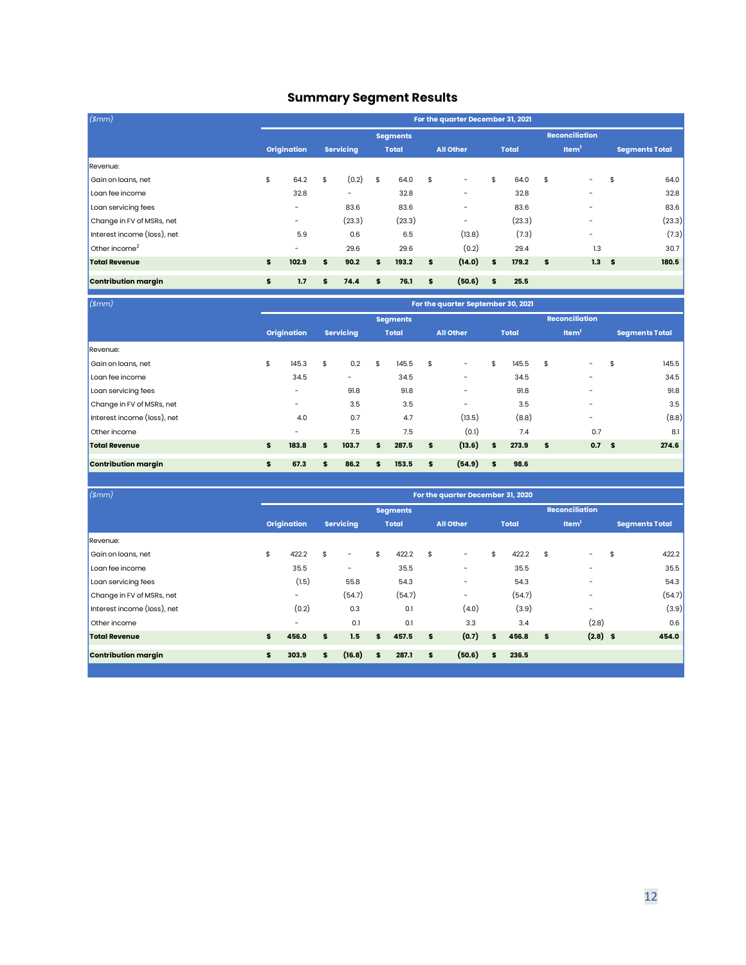# Summary Segment Results

|                             |                          |                          | <b>Summary Segment Results</b> |                                    |     |              |                                |                  |                       |
|-----------------------------|--------------------------|--------------------------|--------------------------------|------------------------------------|-----|--------------|--------------------------------|------------------|-----------------------|
| (smm)                       |                          |                          |                                | For the quarter December 31, 2021  |     |              |                                |                  |                       |
|                             |                          |                          | <b>Segments</b>                |                                    |     |              | <b>Reconciliation</b>          |                  |                       |
|                             | <b>Origination</b>       | <b>Servicing</b>         | <b>Total</b>                   | <b>All Other</b>                   |     | <b>Total</b> | Item <sup>1</sup>              |                  | <b>Segments Total</b> |
| Revenue:                    |                          |                          |                                |                                    |     |              |                                |                  |                       |
| Gain on loans, net          | \$<br>64.2               | \$<br>(0.2)              | \$<br>64.0                     | \$<br>$\overline{\phantom{a}}$     | \$  | 64.0         | \$                             |                  | \$<br>64.0            |
| Loan fee income             | 32.8                     | $\overline{\phantom{a}}$ | 32.8                           | $\overline{\phantom{a}}$           |     | 32.8         |                                |                  | 32.8                  |
| Loan servicing fees         | $\overline{\phantom{a}}$ | 83.6                     | 83.6                           | $\overline{\phantom{a}}$           |     | 83.6         | $\overline{\phantom{a}}$       |                  | 83.6                  |
| Change in FV of MSRs, net   | $\overline{\phantom{a}}$ | (23.3)                   | (23.3)                         | $\overline{\phantom{a}}$           |     | (23.3)       | $\overline{\phantom{a}}$       |                  | (23.3)                |
| Interest income (loss), net | 5.9                      | 0.6                      | 6.5                            | (13.8)                             |     | (7.3)        |                                |                  | (7.3)                 |
| Other income <sup>2</sup>   | $\overline{\phantom{a}}$ | 29.6                     | 29.6                           | (0.2)                              |     | 29.4         |                                | 1.3              | 30.7                  |
| <b>Total Revenue</b>        | \$<br>102.9              | \$<br>90.2               | \$<br>193.2                    | \$<br>(14.0)                       | -\$ | 179.2        | \$                             | 1.3 <sup>5</sup> | 180.5                 |
| <b>Contribution margin</b>  | \$<br>1.7                | \$<br>74.4               | \$<br>76.1                     | \$<br>(50.6)                       | \$  | 25.5         |                                |                  |                       |
| (smm)                       |                          |                          |                                | For the quarter September 30, 2021 |     |              |                                |                  |                       |
|                             |                          |                          | <b>Segments</b>                |                                    |     |              | <b>Reconciliation</b>          |                  |                       |
|                             | <b>Origination</b>       | <b>Servicing</b>         | <b>Total</b>                   | <b>All Other</b>                   |     | <b>Total</b> | Item <sup>1</sup>              |                  | <b>Segments Total</b> |
| Revenue:                    |                          |                          |                                |                                    |     |              |                                |                  |                       |
| Gain on loans, net          | \$<br>145.3              | \$<br>0.2                | \$<br>145.5                    | \$<br>$\overline{\phantom{a}}$     | \$  | 145.5        | \$<br>$\overline{\phantom{a}}$ |                  | 145.5<br>\$           |
| Loan fee income             | 34.5                     | $\equiv$                 | 34.5                           | $\sim$                             |     | 34.5         | $\overline{\phantom{a}}$       |                  | 34.5                  |

| Loan fee income             | 32.8                     | $\overline{\phantom{a}}$       | 32.8            | $\qquad \qquad -$                  | 32.8         | $\overline{\phantom{a}}$ |           | 32.8                  |
|-----------------------------|--------------------------|--------------------------------|-----------------|------------------------------------|--------------|--------------------------|-----------|-----------------------|
| Loan servicing fees         |                          | 83.6                           | 83.6            |                                    | 83.6         |                          |           | 83.6                  |
| Change in FV of MSRs, net   | -                        | (23.3)                         | (23.3)          | $\qquad \qquad -$                  | (23.3)       |                          |           | (23.3)                |
| Interest income (loss), net | 5.9                      | 0.6                            | 6.5             | (13.8)                             | (7.3)        | -                        |           | (7.3)                 |
| Other income $2$            | -                        | 29.6                           | 29.6            | (0.2)                              | 29.4         | 1.3                      |           | 30.7                  |
| <b>Total Revenue</b>        | \$<br>102.9              | \$<br>90.2                     | \$<br>193.2     | \$<br>(14.0)                       | \$<br>179.2  | \$<br>1.3 <sup>5</sup>   |           | 180.5                 |
| <b>Contribution margin</b>  | \$<br>1.7                | \$<br>74.4                     | \$<br>76.1      | \$<br>(50.6)                       | \$<br>25.5   |                          |           |                       |
| (smm)                       |                          |                                |                 | For the quarter September 30, 2021 |              |                          |           |                       |
|                             |                          |                                | <b>Segments</b> |                                    |              | <b>Reconciliation</b>    |           |                       |
|                             | <b>Origination</b>       | <b>Servicing</b>               | <b>Total</b>    | <b>All Other</b>                   | <b>Total</b> | Item <sup>1</sup>        |           | <b>Segments Total</b> |
| Revenue:                    |                          |                                |                 |                                    |              |                          |           |                       |
| Gain on loans, net          | \$<br>145.3              | \$<br>0.2                      | \$<br>145.5     | \$<br>$\overline{\phantom{a}}$     | \$<br>145.5  | \$<br>$\equiv$           | \$        | 145.5                 |
| Loan fee income             | 34.5                     |                                | 34.5            | $\qquad \qquad -$                  | 34.5         |                          |           | 34.5                  |
| Loan servicing fees         | $\overline{\phantom{a}}$ | 91.8                           | 91.8            | $\qquad \qquad -$                  | 91.8         |                          |           | 91.8                  |
| Change in FV of MSRs, net   | -                        | 3.5                            | 3.5             | $\overline{\phantom{0}}$           | 3.5          |                          |           | 3.5                   |
| Interest income (loss), net | 4.0                      | 0.7                            | 4.7             | (13.5)                             | (8.8)        | ٠                        |           | (8.8)                 |
| Other income                | $\overline{\phantom{a}}$ | 7.5                            | 7.5             | (0.1)                              | 7.4          | 0.7                      |           | 8.1                   |
| <b>Total Revenue</b>        | \$<br>183.8              | \$<br>103.7                    | \$<br>287.5     | \$<br>(13.6)                       | \$<br>273.9  | \$<br>0.7                | $\bullet$ | 274.6                 |
| <b>Contribution margin</b>  | \$<br>67.3               | \$<br>86.2                     | \$<br>153.5     | \$<br>(54.9)                       | \$<br>98.6   |                          |           |                       |
|                             |                          |                                |                 |                                    |              |                          |           |                       |
| (smm)                       |                          |                                |                 | For the quarter December 31, 2020  |              |                          |           |                       |
|                             |                          |                                | <b>Segments</b> |                                    |              | <b>Reconciliation</b>    |           |                       |
|                             | <b>Origination</b>       | <b>Servicing</b>               | <b>Total</b>    | <b>All Other</b>                   | <b>Total</b> | Item <sup>1</sup>        |           | <b>Segments Total</b> |
| Revenue:                    |                          |                                |                 |                                    |              |                          |           |                       |
| Gain on loans, net          | \$<br>422.2              | \$<br>$\overline{\phantom{a}}$ | \$<br>422.2     | \$                                 | \$<br>422.2  | \$                       | \$        | 422.2                 |
| Loan fee income             | 35.5                     |                                | 35.5            | $\overline{\phantom{0}}$           | 35.5         | $\overline{\phantom{a}}$ |           | 35.5                  |

| Loan servicing fees         | -                        |    | 91.8             |              | 91.8         |                 | $\overline{\phantom{a}}$          |                    | 91.8         | $\overline{\phantom{a}}$       |    | 91.8                  |  |
|-----------------------------|--------------------------|----|------------------|--------------|--------------|-----------------|-----------------------------------|--------------------|--------------|--------------------------------|----|-----------------------|--|
| Change in FV of MSRs, net   | ۰.                       |    | 3.5              |              | 3.5          |                 | $\overline{\phantom{a}}$          |                    | 3.5          | $\overline{\phantom{a}}$       |    | 3.5                   |  |
| Interest income (loss), net | 4.0                      |    | 0.7              |              | 4.7          |                 | (13.5)                            |                    | (8.8)        | $\overline{\phantom{a}}$       |    | (8.8)                 |  |
| Other income                | -                        |    | 7.5              |              | 7.5          |                 | (0.1)                             |                    | 7.4          | 0.7                            |    | 8.1                   |  |
| <b>Total Revenue</b>        | \$<br>183.8              | \$ | 103.7            | \$           | 287.5        | \$              | (13.6)                            | \$                 | 273.9        | \$<br>0.7 <sup>5</sup>         |    | 274.6                 |  |
| <b>Contribution margin</b>  | \$<br>67.3               | \$ | 86.2             | \$           | 153.5        | \$              | (54.9)                            | $\pmb{\mathsf{s}}$ | 98.6         |                                |    |                       |  |
|                             |                          |    |                  |              |              |                 |                                   |                    |              |                                |    |                       |  |
| (smm)                       |                          |    |                  |              |              |                 | For the quarter December 31, 2020 |                    |              |                                |    |                       |  |
|                             |                          |    |                  |              |              | <b>Segments</b> |                                   |                    |              | <b>Reconciliation</b>          |    |                       |  |
|                             | <b>Origination</b>       |    | <b>Servicing</b> |              | <b>Total</b> |                 | <b>All Other</b>                  |                    | <b>Total</b> | Item <sup>1</sup>              |    | <b>Segments Total</b> |  |
| Revenue:                    |                          |    |                  |              |              |                 |                                   |                    |              |                                |    |                       |  |
| Gain on loans, net          | \$<br>422.2              | \$ | $\blacksquare$   | \$           | 422.2        | \$              | $\overline{\phantom{a}}$          | \$                 | 422.2        | \$<br>$\overline{\phantom{a}}$ | \$ | 422.2                 |  |
| Loan fee income             | 35.5                     |    | $\blacksquare$   |              | 35.5         |                 | $\blacksquare$                    |                    | 35.5         | $\overline{\phantom{a}}$       |    | 35.5                  |  |
| Loan servicing fees         | (1.5)                    |    | 55.8             |              | 54.3         |                 | $\overline{\phantom{a}}$          |                    | 54.3         |                                |    | 54.3                  |  |
| Change in FV of MSRs, net   | $\overline{\phantom{a}}$ |    | (54.7)           |              | (54.7)       |                 | $\overline{\phantom{a}}$          |                    | (54.7)       |                                |    | (54.7)                |  |
| Interest income (loss), net | (0.2)                    |    | 0.3              |              | 0.1          |                 | (4.0)                             |                    | (3.9)        | $\overline{\phantom{a}}$       |    | (3.9)                 |  |
| Other income                | ۰                        |    | 0.1              |              | 0.1          |                 | 3.3                               |                    | 3.4          | (2.8)                          |    | 0.6                   |  |
| <b>Total Revenue</b>        | \$<br>456.0              | \$ | 1.5              | \$           | 457.5        | \$              | (0.7)                             | \$                 | 456.8        | \$<br>$(2.8)$ \$               |    | 454.0                 |  |
| <b>Contribution margin</b>  | \$<br>303.9              | \$ | (16.8)           | $\mathbf{s}$ | 287.1        | \$              | (50.6)                            | \$                 | 236.5        |                                |    |                       |  |
|                             |                          |    |                  |              |              |                 |                                   |                    |              |                                |    |                       |  |
|                             |                          |    |                  |              |              |                 |                                   |                    |              |                                |    |                       |  |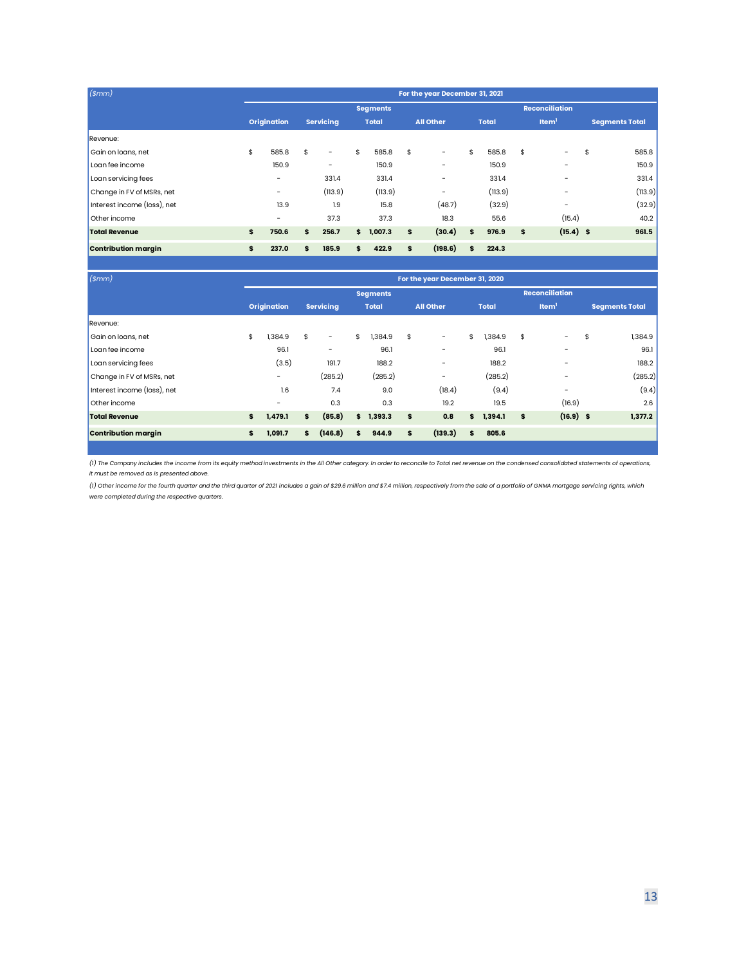| (smm)                                 |                          |                                     |    |                                 |    | For the year December 31, 2021 |    |                |    | <b>Reconciliation</b>    |                       |                       |  |
|---------------------------------------|--------------------------|-------------------------------------|----|---------------------------------|----|--------------------------------|----|----------------|----|--------------------------|-----------------------|-----------------------|--|
|                                       | <b>Origination</b>       | <b>Servicing</b>                    |    | <b>Segments</b><br><b>Total</b> |    | <b>All Other</b>               |    | <b>Total</b>   |    | Item <sup>1</sup>        |                       | <b>Segments Total</b> |  |
|                                       |                          |                                     |    |                                 |    |                                |    |                |    |                          |                       |                       |  |
| Revenue:                              |                          |                                     |    |                                 |    |                                |    |                |    |                          |                       |                       |  |
| Gain on loans, net<br>Loan fee income | \$<br>585.8<br>150.9     | \$<br>۰<br>$\overline{\phantom{a}}$ | \$ | 585.8<br>150.9                  | \$ | $\overline{\phantom{a}}$       | \$ | 585.8<br>150.9 | \$ | $\overline{\phantom{a}}$ | \$                    | 585.8<br>150.9        |  |
| Loan servicing fees                   | $\equiv$                 | 331.4                               |    | 331.4                           |    | $\overline{\phantom{a}}$       |    | 331.4          |    | $\overline{\phantom{a}}$ |                       | 331.4                 |  |
| Change in FV of MSRs, net             | $\overline{\phantom{a}}$ | (113.9)                             |    | (113.9)                         |    | $\overline{\phantom{a}}$       |    | (113.9)        |    | $\overline{\phantom{a}}$ |                       | (113.9)               |  |
| Interest income (loss), net           | 13.9                     | 1.9                                 |    | 15.8                            |    | (48.7)                         |    | (32.9)         |    | $\sim$                   |                       | (32.9)                |  |
| Other income                          | $\overline{\phantom{0}}$ | 37.3                                |    | 37.3                            |    | 18.3                           |    | 55.6           |    | (15.4)                   |                       | 40.2                  |  |
| <b>Total Revenue</b>                  | \$<br>750.6              | \$<br>256.7                         |    | \$1,007.3                       | \$ | (30.4)                         | \$ | 976.9          | \$ | $(15.4)$ \$              |                       | 961.5                 |  |
| <b>Contribution margin</b>            | \$<br>237.0              | \$<br>185.9                         | \$ | 422.9                           | \$ | (198.6)                        | \$ | 224.3          |    |                          |                       |                       |  |
|                                       |                          |                                     |    |                                 |    |                                |    |                |    |                          |                       |                       |  |
| (smm)                                 |                          |                                     |    |                                 |    | For the year December 31, 2020 |    |                |    |                          |                       |                       |  |
|                                       |                          |                                     |    | <b>Segments</b>                 |    |                                |    |                |    | <b>Reconciliation</b>    |                       |                       |  |
|                                       | Origination              | <b>Servicing</b>                    |    | <b>Total</b>                    |    | <b>All Other</b>               |    | <b>Total</b>   |    | Item <sup>1</sup>        | <b>Segments Total</b> |                       |  |
| Revenue:                              |                          |                                     |    |                                 |    |                                |    |                |    |                          |                       |                       |  |
| Gain on loans, net                    | \$<br>1,384.9            | \$<br>$\overline{\phantom{a}}$      | \$ | 1,384.9                         | \$ | $\overline{\phantom{a}}$       | \$ | 1,384.9        | \$ |                          | \$                    | 1,384.9               |  |
|                                       |                          |                                     |    |                                 |    |                                |    |                |    |                          |                       |                       |  |

| Loan fee income                                                                                                                                                                                      |    | 150.9       |    | $\qquad \qquad -$        |    | 150.9           | -                              | 150.9         |                       |    | 150.9                 |
|------------------------------------------------------------------------------------------------------------------------------------------------------------------------------------------------------|----|-------------|----|--------------------------|----|-----------------|--------------------------------|---------------|-----------------------|----|-----------------------|
| Loan servicing fees                                                                                                                                                                                  |    |             |    | 331.4                    |    | 331.4           | -                              | 331.4         |                       |    | 331.4                 |
| Change in FV of MSRs, net                                                                                                                                                                            |    | -           |    | (113.9)                  |    | (113.9)         | ۰                              | (113.9)       | ٠                     |    | (113.9)               |
| Interest income (loss), net                                                                                                                                                                          |    | 13.9        |    | 1.9                      |    | 15.8            | (48.7)                         | (32.9)        |                       |    | (32.9)                |
| Other income                                                                                                                                                                                         |    | ۰           |    | 37.3                     |    | 37.3            | 18.3                           | 55.6          | (15.4)                |    | 40.2                  |
| <b>Total Revenue</b>                                                                                                                                                                                 | s. | 750.6       | \$ | 256.7                    | s. | 1,007.3         | \$<br>(30.4)                   | \$<br>976.9   | \$<br>$(15.4)$ \$     |    | 961.5                 |
| <b>Contribution margin</b>                                                                                                                                                                           | s  | 237.0       | s. | 185.9                    | s  | 422.9           | \$<br>(198.6)                  | \$<br>224.3   |                       |    |                       |
|                                                                                                                                                                                                      |    |             |    |                          |    |                 |                                |               |                       |    |                       |
| (smm)                                                                                                                                                                                                |    |             |    |                          |    |                 | For the year December 31, 2020 |               |                       |    |                       |
|                                                                                                                                                                                                      |    |             |    |                          |    | <b>Segments</b> |                                |               | <b>Reconciliation</b> |    |                       |
|                                                                                                                                                                                                      |    | Origination |    | <b>Servicing</b>         |    | <b>Total</b>    | <b>All Other</b>               | <b>Total</b>  | Item <sup>1</sup>     |    | <b>Segments Total</b> |
| Revenue:                                                                                                                                                                                             |    |             |    |                          |    |                 |                                |               |                       |    |                       |
| Gain on loans, net                                                                                                                                                                                   | \$ | 1,384.9     | \$ | $\overline{\phantom{a}}$ | \$ | 1,384.9         | \$                             | \$<br>1,384.9 | \$                    | \$ | 1,384.9               |
| Loan fee income                                                                                                                                                                                      |    | 96.1        |    | $\overline{\phantom{a}}$ |    | 96.1            | ۰                              | 96.1          |                       |    | 96.1                  |
| Loan servicing fees                                                                                                                                                                                  |    | (3.5)       |    | 191.7                    |    | 188.2           | -                              | 188.2         |                       |    | 188.2                 |
| Change in FV of MSRs, net                                                                                                                                                                            |    |             |    | (285.2)                  |    | (285.2)         | $\overline{\phantom{m}}$       | (285.2)       |                       |    | (285.2)               |
| Interest income (loss), net                                                                                                                                                                          |    | 1.6         |    | 7.4                      |    | 9.0             | (18.4)                         | (9.4)         |                       |    | (9.4)                 |
| Other income                                                                                                                                                                                         |    |             |    | 0.3                      |    | 0.3             | 19.2                           | 19.5          | (16.9)                |    | 2.6                   |
| <b>Total Revenue</b>                                                                                                                                                                                 | s  | 1,479.1     | \$ | (85.8)                   | s. | 1,393.3         | \$<br>0.8                      | \$<br>1,394.1 | \$<br>$(16.9)$ \$     |    | 1,377.2               |
| <b>Contribution margin</b>                                                                                                                                                                           | \$ | 1,091.7     | \$ | (146.8)                  | S  | 944.9           | \$<br>(139.3)                  | \$<br>805.6   |                       |    |                       |
|                                                                                                                                                                                                      |    |             |    |                          |    |                 |                                |               |                       |    |                       |
| (1) The Company includes the income from its equity method investments in the All Other category. In order to reconcile to Total net revenue on the condensed consolidated statements of operations, |    |             |    |                          |    |                 |                                |               |                       |    |                       |
| it must be removed as is presented above.                                                                                                                                                            |    |             |    |                          |    |                 |                                |               |                       |    |                       |
|                                                                                                                                                                                                      |    |             |    |                          |    |                 |                                |               |                       |    |                       |

(1) Other income for the fourth quarter and the third quarter of 2021 includes a gain of \$29.6 million and \$7.4 million, respectively from the sale of a portfolio of GNMA mortgage servicing rights, which

were completed during the respective quarters.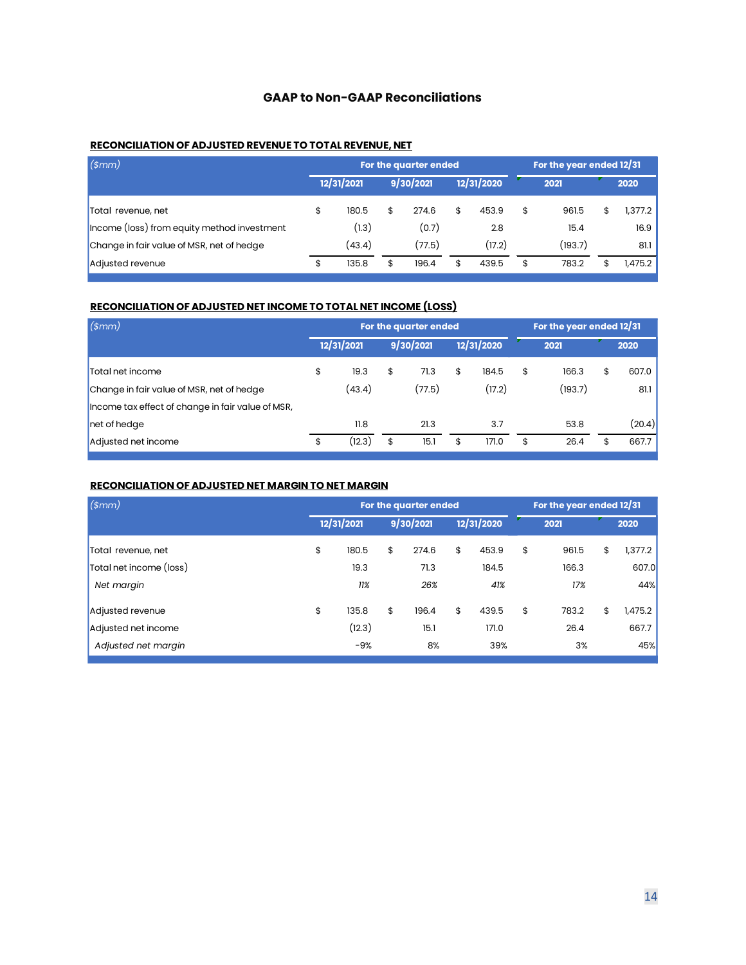## GAAP to Non-GAAP Reconciliations

### RECONCILIATION OF ADJUSTED REVENUE TO TOTAL REVENUE, NET

|                                                                          |             | <b>GAAP to Non-GAAP Reconciliations</b> |             |                          |               |
|--------------------------------------------------------------------------|-------------|-----------------------------------------|-------------|--------------------------|---------------|
|                                                                          |             |                                         |             |                          |               |
| <b>RECONCILIATION OF ADJUSTED REVENUE TO TOTAL REVENUE, NET</b><br>(smm) |             | For the quarter ended                   |             | For the year ended 12/31 |               |
|                                                                          | 12/31/2021  | 9/30/2021                               | 12/31/2020  | 2021                     | 2020          |
| Total revenue, net                                                       | \$<br>180.5 | \$<br>274.6                             | \$<br>453.9 | \$<br>961.5              | \$<br>1,377.2 |
| Income (loss) from equity method investment                              | (1.3)       | (0.7)                                   | 2.8         | 15.4                     | 16.9          |
| Change in fair value of MSR, net of hedge                                | (43.4)      | (77.5)                                  | (17.2)      | (193.7)                  | 81.1          |
| Adjusted revenue                                                         | \$<br>135.8 | \$<br>196.4                             | \$<br>439.5 | \$<br>783.2              | \$<br>1,475.2 |

### RECONCILIATION OF ADJUSTED NET INCOME TO TOTAL NET INCOME (LOSS)

| Total revenue, net                                                      | \$<br>180.5 | \$<br>274.6           | \$<br>453.9 | \$<br>961.5              | \$<br>1,377.2 |
|-------------------------------------------------------------------------|-------------|-----------------------|-------------|--------------------------|---------------|
| Income (loss) from equity method investment                             | (1.3)       | (0.7)                 | 2.8         | 15.4                     | 16.9          |
| Change in fair value of MSR, net of hedge                               | (43.4)      | (77.5)                | (17.2)      | (193.7)                  | 81.1          |
| Adjusted revenue                                                        | \$<br>135.8 | \$<br>196.4           | \$<br>439.5 | \$<br>783.2              | \$<br>1,475.2 |
|                                                                         |             |                       |             |                          |               |
| <b>RECONCILIATION OF ADJUSTED NET INCOME TO TOTAL NET INCOME (LOSS)</b> |             |                       |             |                          |               |
| (smm)                                                                   |             | For the quarter ended |             | For the year ended 12/31 |               |
|                                                                         | 12/31/2021  | 9/30/2021             | 12/31/2020  | 2021                     | 2020          |
| Total net income                                                        | \$<br>19.3  | \$<br>71.3            | \$<br>184.5 | \$<br>166.3              | \$<br>607.0   |
| Change in fair value of MSR, net of hedge                               | (43.4)      | (77.5)                | (17.2)      | (193.7)                  | 81.1          |
| Income tax effect of change in fair value of MSR,                       |             |                       |             |                          |               |
|                                                                         | 11.8        | 21.3                  | 3.7         | 53.8                     | (20.4)        |
| net of hedge                                                            |             | 15.1                  | \$<br>171.0 | \$<br>26.4               | \$<br>667.7   |

#### RECONCILIATION OF ADJUSTED NET MARGIN TO NET MARGIN

| Change in fair value of MSR, net of hedge                  | (43.4)       |           | (77.5)                |                          | (17.2) |    | (193.7) |    | 81.1    |  |
|------------------------------------------------------------|--------------|-----------|-----------------------|--------------------------|--------|----|---------|----|---------|--|
| Income tax effect of change in fair value of MSR,          |              |           |                       |                          |        |    |         |    |         |  |
| net of hedge                                               | 11.8         |           | 21.3                  |                          | 3.7    |    | 53.8    |    | (20.4)  |  |
| Adjusted net income                                        | \$<br>(12.3) | \$        | 15.1                  | \$                       | 171.0  | \$ | 26.4    | \$ | 667.7   |  |
|                                                            |              |           |                       |                          |        |    |         |    |         |  |
| <b>RECONCILIATION OF ADJUSTED NET MARGIN TO NET MARGIN</b> |              |           |                       |                          |        |    |         |    |         |  |
| (smm)                                                      |              |           | For the quarter ended | For the year ended 12/31 |        |    |         |    |         |  |
|                                                            | 12/31/2021   | 9/30/2021 |                       | 12/31/2020               |        |    | 2021    |    | 2020    |  |
| Total revenue, net                                         | \$<br>180.5  | \$        | 274.6                 | \$                       | 453.9  | \$ | 961.5   | \$ | 1,377.2 |  |
| Total net income (loss)                                    | 19.3         |           | 71.3                  |                          | 184.5  |    | 166.3   |    | 607.0   |  |
| Net margin                                                 | 11%          |           | 26%                   |                          | 41%    |    | 17%     |    | 44%     |  |
| Adjusted revenue                                           | \$<br>135.8  | \$        | 196.4                 | \$                       | 439.5  | \$ | 783.2   | \$ | 1,475.2 |  |
| Adjusted net income                                        | (12.3)       |           | 15.1                  |                          | 171.0  |    | 26.4    |    | 667.7   |  |
|                                                            | -9%          |           | 8%                    |                          | 39%    |    | 3%      |    | 45%     |  |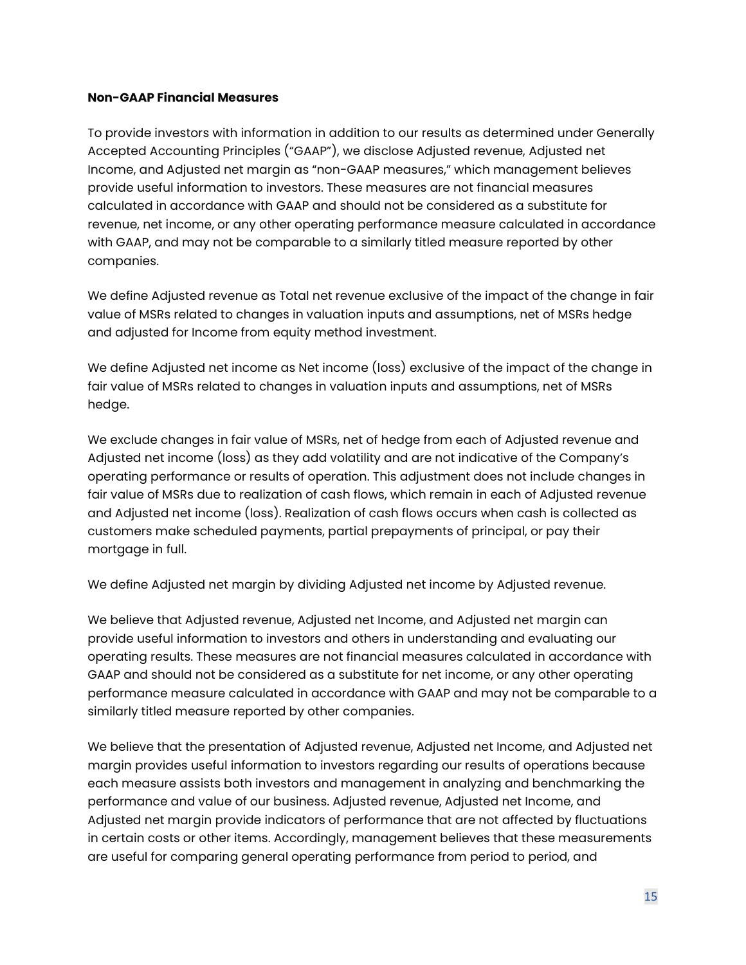## Non-GAAP Financial Measures

To provide investors with information in addition to our results as determined under Generally Accepted Accounting Principles ("GAAP"), we disclose Adjusted revenue, Adjusted net Income, and Adjusted net margin as "non-GAAP measures," which management believes provide useful information to investors. These measures are not financial measures calculated in accordance with GAAP and should not be considered as a substitute for revenue, net income, or any other operating performance measure calculated in accordance with GAAP, and may not be comparable to a similarly titled measure reported by other companies.

We define Adjusted revenue as Total net revenue exclusive of the impact of the change in fair value of MSRs related to changes in valuation inputs and assumptions, net of MSRs hedge and adjusted for Income from equity method investment.

We define Adjusted net income as Net income (loss) exclusive of the impact of the change in fair value of MSRs related to changes in valuation inputs and assumptions, net of MSRs hedge.

We exclude changes in fair value of MSRs, net of hedge from each of Adjusted revenue and Adjusted net income (loss) as they add volatility and are not indicative of the Company's operating performance or results of operation. This adjustment does not include changes in fair value of MSRs due to realization of cash flows, which remain in each of Adjusted revenue and Adjusted net income (loss). Realization of cash flows occurs when cash is collected as customers make scheduled payments, partial prepayments of principal, or pay their mortgage in full.

We define Adjusted net margin by dividing Adjusted net income by Adjusted revenue.

We believe that Adjusted revenue, Adjusted net Income, and Adjusted net margin can provide useful information to investors and others in understanding and evaluating our operating results. These measures are not financial measures calculated in accordance with GAAP and should not be considered as a substitute for net income, or any other operating performance measure calculated in accordance with GAAP and may not be comparable to a similarly titled measure reported by other companies.

We believe that the presentation of Adjusted revenue, Adjusted net Income, and Adjusted net margin provides useful information to investors regarding our results of operations because each measure assists both investors and management in analyzing and benchmarking the performance and value of our business. Adjusted revenue, Adjusted net Income, and Adjusted net margin provide indicators of performance that are not affected by fluctuations in certain costs or other items. Accordingly, management believes that these measurements are useful for comparing general operating performance from period to period, and